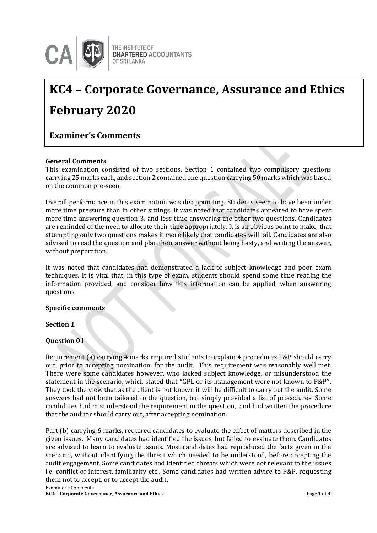

#### THE INSTITUTE OF **CHARTERED ACCOUNTANTS OF SRI LANKA**

# **KC4 – Corporate Governance, Assurance and Ethics February 2020**

**Examiner's Comments**

# **General Comments**

This examination consisted of two sections. Section 1 contained two compulsory questions carrying 25 marks each, and section 2 contained one question carrying 50 marks which was based on the common pre-seen.

Overall performance in this examination was disappointing. Students seem to have been under more time pressure than in other sittings. It was noted that candidates appeared to have spent more time answering question 3, and less time answering the other two questions. Candidates are reminded of the need to allocate their time appropriately. It is an obvious point to make, that attempting only two questions makes it more likely that candidates will fail. Candidates are also advised to read the question and plan their answer without being hasty, and writing the answer, without preparation.

It was noted that candidates had demonstrated a lack of subject knowledge and poor exam techniques. It is vital that, in this type of exam, students should spend some time reading the information provided, and consider how this information can be applied, when answering questions.

### **Specific comments**

# **Section 1**

# **Question 01**

Requirement (a) carrying 4 marks required students to explain 4 procedures P&P should carry out, prior to accepting nomination, for the audit. This requirement was reasonably well met. There were some candidates however, who lacked subject knowledge, or misunderstood the statement in the scenario, which stated that ''GPL or its management were not known to P&P''. They took the view that as the client is not known it will be difficult to carry out the audit. Some answers had not been tailored to the question, but simply provided a list of procedures. Some candidates had misunderstood the requirement in the question, and had written the procedure that the auditor should carry out, after accepting nomination.

Part (b) carrying 6 marks, required candidates to evaluate the effect of matters described in the given issues. Many candidates had identified the issues, but failed to evaluate them. Candidates are advised to learn to evaluate issues. Most candidates had reproduced the facts given in the scenario, without identifying the threat which needed to be understood, before accepting the audit engagement. Some candidates had identified threats which were not relevant to the issues i.e. conflict of interest, familiarity etc., Some candidates had written advice to P&P, requesting them not to accept, or to accept the audit.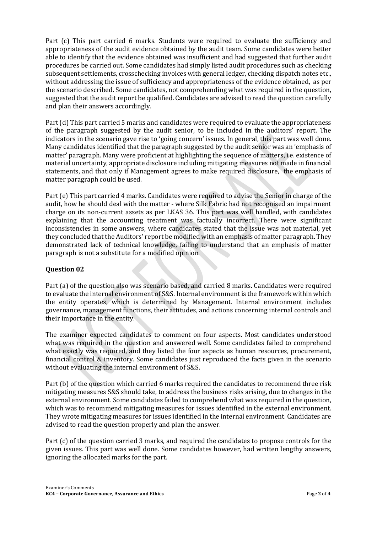Part (c) This part carried 6 marks. Students were required to evaluate the sufficiency and appropriateness of the audit evidence obtained by the audit team. Some candidates were better able to identify that the evidence obtained was insufficient and had suggested that further audit procedures be carried out. Some candidates had simply listed audit procedures such as checking subsequent settlements, crosschecking invoices with general ledger, checking dispatch notes etc., without addressing the issue of sufficiency and appropriateness of the evidence obtained, as per the scenario described. Some candidates, not comprehending what was required in the question, suggested that the audit report be qualified. Candidates are advised to read the question carefully and plan their answers accordingly.

Part (d) This part carried 5 marks and candidates were required to evaluate the appropriateness of the paragraph suggested by the audit senior, to be included in the auditors' report. The indicators in the scenario gave rise to 'going concern' issues. In general, this part was well done. Many candidates identified that the paragraph suggested by the audit senior was an 'emphasis of matter' paragraph. Many were proficient at highlighting the sequence of matters, i.e. existence of material uncertainty, appropriate disclosure including mitigating measures not made in financial statements, and that only if Management agrees to make required disclosure, the emphasis of matter paragraph could be used.

Part (e) This part carried 4 marks. Candidates were required to advise the Senior in charge of the audit, how he should deal with the matter - where Silk Fabric had not recognised an impairment charge on its non-current assets as per LKAS 36. This part was well handled, with candidates explaining that the accounting treatment was factually incorrect. There were significant inconsistencies in some answers, where candidates stated that the issue was not material, yet they concluded that the Auditors' report be modified with an emphasis of matter paragraph. They demonstrated lack of technical knowledge, failing to understand that an emphasis of matter paragraph is not a substitute for a modified opinion.

# **Question 02**

Part (a) of the question also was scenario based, and carried 8 marks. Candidates were required to evaluate the internal environment of S&S. Internal environment is the framework within which the entity operates, which is determined by Management. Internal environment includes governance, management functions, their attitudes, and actions concerning internal controls and their importance in the entity.

The examiner expected candidates to comment on four aspects. Most candidates understood what was required in the question and answered well. Some candidates failed to comprehend what exactly was required, and they listed the four aspects as human resources, procurement, financial control & inventory. Some candidates just reproduced the facts given in the scenario without evaluating the internal environment of S&S.

Part (b) of the question which carried 6 marks required the candidates to recommend three risk mitigating measures S&S should take, to address the business risks arising, due to changes in the external environment. Some candidates failed to comprehend what was required in the question, which was to recommend mitigating measures for issues identified in the external environment. They wrote mitigating measures for issues identified in the internal environment. Candidates are advised to read the question properly and plan the answer.

Part (c) of the question carried 3 marks, and required the candidates to propose controls for the given issues. This part was well done. Some candidates however, had written lengthy answers, ignoring the allocated marks for the part.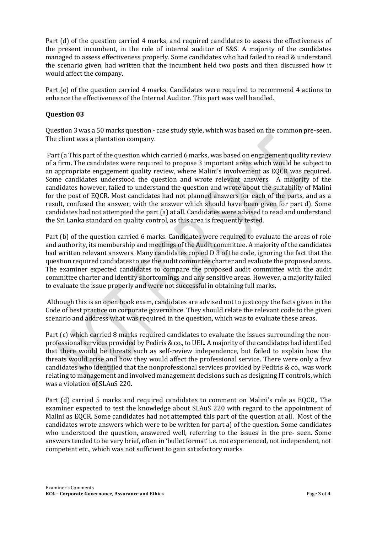Part (d) of the question carried 4 marks, and required candidates to assess the effectiveness of the present incumbent, in the role of internal auditor of S&S. A majority of the candidates managed to assess effectiveness properly. Some candidates who had failed to read & understand the scenario given, had written that the incumbent held two posts and then discussed how it would affect the company.

Part (e) of the question carried 4 marks. Candidates were required to recommend 4 actions to enhance the effectiveness of the Internal Auditor. This part was well handled.

# **Question 03**

Question 3 was a 50 marks question - case study style, which was based on the common pre-seen. The client was a plantation company.

Part (a This part of the question which carried 6 marks, was based on engagement quality review of a firm. The candidates were required to propose 3 important areas which would be subject to an appropriate engagement quality review, where Malini's involvement as EQCR was required. Some candidates understood the question and wrote relevant answers. A majority of the candidates however, failed to understand the question and wrote about the suitability of Malini for the post of EQCR. Most candidates had not planned answers for each of the parts, and as a result, confused the answer, with the answer which should have been given for part d). Some candidates had not attempted the part (a) at all. Candidates were advised to read and understand the Sri Lanka standard on quality control, as this area is frequently tested.

Part (b) of the question carried 6 marks. Candidates were required to evaluate the areas of role and authority, its membership and meetings of the Audit committee. A majority of the candidates had written relevant answers. Many candidates copied D 3 of the code, ignoring the fact that the question required candidates to use the audit committee charter and evaluate the proposed areas. The examiner expected candidates to compare the proposed audit committee with the audit committee charter and identify shortcomings and any sensitive areas. However, a majority failed to evaluate the issue properly and were not successful in obtaining full marks.

Although this is an open book exam, candidates are advised not to just copy the facts given in the Code of best practice on corporate governance. They should relate the relevant code to the given scenario and address what was required in the question, which was to evaluate these areas.

Part (c) which carried 8 marks required candidates to evaluate the issues surrounding the nonprofessional services provided by Pediris & co., to UEL. A majority of the candidates had identified that there would be threats such as self-review independence, but failed to explain how the threats would arise and how they would affect the professional service. There were only a few candidates who identified that the nonprofessional services provided by Pediris & co., was work relating to management and involved management decisions such as designing IT controls, which was a violation of SLAuS 220.

Part (d) carried 5 marks and required candidates to comment on Malini's role as EQCR,. The examiner expected to test the knowledge about SLAuS 220 with regard to the appointment of Malini as EQCR. Some candidates had not attempted this part of the question at all. Most of the candidates wrote answers which were to be written for part a) of the question. Some candidates who understood the question, answered well, referring to the issues in the pre- seen. Some answers tended to be very brief, often in 'bullet format' i.e. not experienced, not independent, not competent etc., which was not sufficient to gain satisfactory marks.